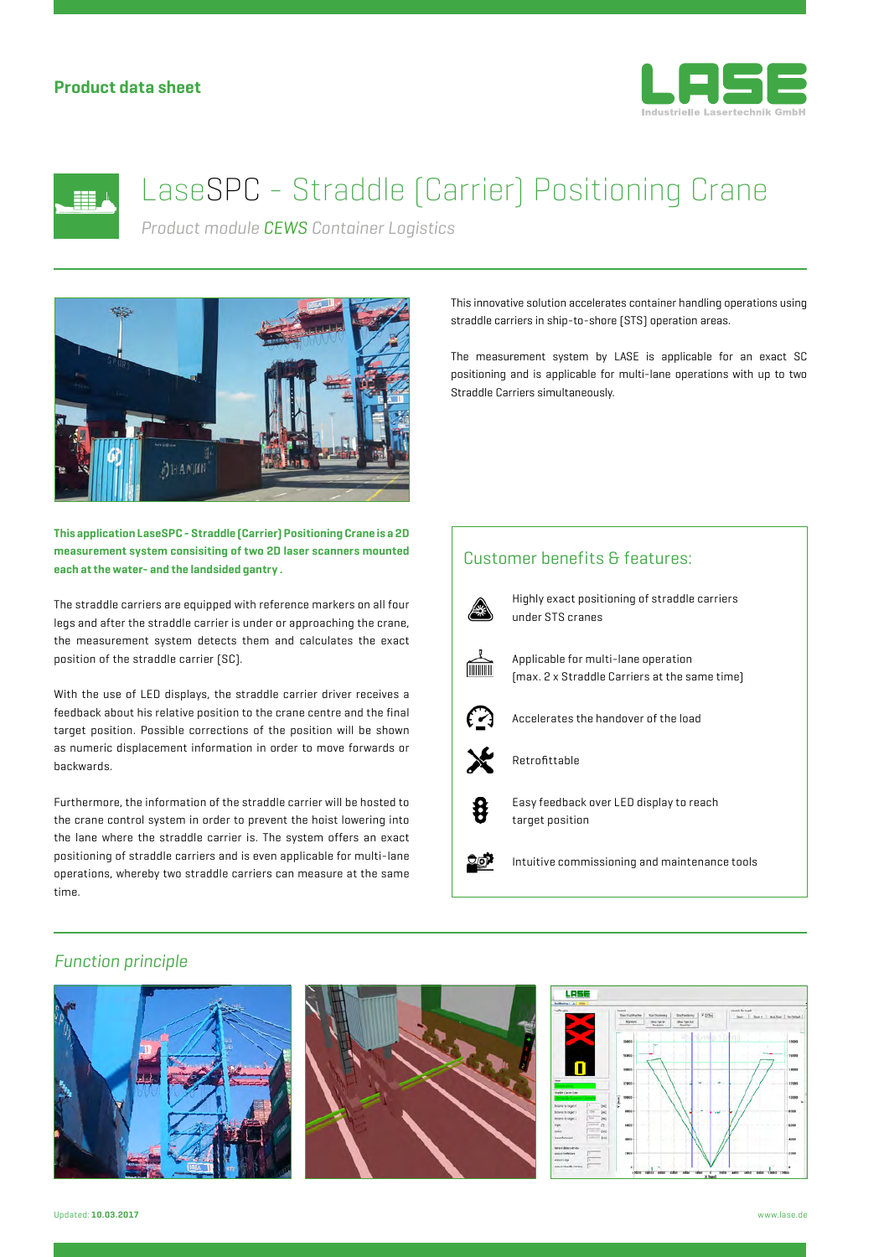## **Product data sheet**





# LaseSPC - Straddle (Carrier) Positioning Crane

*Product module CEWS Container Logistics*



**This application LaseSPC - Straddle (Carrier) Positioning Crane is a 2D measurement system consisiting of two 2D laser scanners mounted each at the water- and the landsided gantry .**

The straddle carriers are equipped with reference markers on all four legs and after the straddle carrier is under or approaching the crane, the measurement system detects them and calculates the exact position of the straddle carrier (SC).

With the use of LED displays, the straddle carrier driver receives a feedback about his relative position to the crane centre and the final target position. Possible corrections of the position will be shown as numeric displacement information in order to move forwards or backwards.

Furthermore, the information of the straddle carrier will be hosted to the crane control system in order to prevent the hoist lowering into the lane where the straddle carrier is. The system offers an exact positioning of straddle carriers and is even applicable for multi-lane operations, whereby two straddle carriers can measure at the same time.

This innovative solution accelerates container handling operations using straddle carriers in ship-to-shore (STS) operation areas.

The measurement system by LASE is applicable for an exact SC positioning and is applicable for multi-lane operations with up to two Straddle Carriers simultaneously.

## Customer benefits & features:



Highly exact positioning of straddle carriers under STS cranes



Applicable for multi-lane operation (max. 2 x Straddle Carriers at the same time)



8

Accelerates the handover of the load



Retrofittable

Easy feedback over LED display to reach target position

್ತಿದ್ರ? Intuitive commissioning and maintenance tools

## *Function principle*